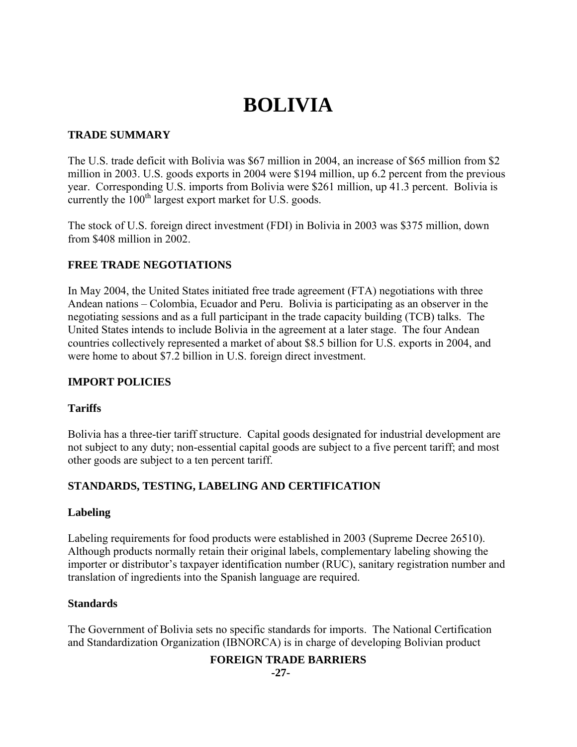# **BOLIVIA**

## **TRADE SUMMARY**

The U.S. trade deficit with Bolivia was \$67 million in 2004, an increase of \$65 million from \$2 million in 2003. U.S. goods exports in 2004 were \$194 million, up 6.2 percent from the previous year. Corresponding U.S. imports from Bolivia were \$261 million, up 41.3 percent. Bolivia is currently the  $100<sup>th</sup>$  largest export market for U.S. goods.

The stock of U.S. foreign direct investment (FDI) in Bolivia in 2003 was \$375 million, down from \$408 million in 2002.

# **FREE TRADE NEGOTIATIONS**

In May 2004, the United States initiated free trade agreement (FTA) negotiations with three Andean nations – Colombia, Ecuador and Peru. Bolivia is participating as an observer in the negotiating sessions and as a full participant in the trade capacity building (TCB) talks. The United States intends to include Bolivia in the agreement at a later stage. The four Andean countries collectively represented a market of about \$8.5 billion for U.S. exports in 2004, and were home to about \$7.2 billion in U.S. foreign direct investment.

## **IMPORT POLICIES**

## **Tariffs**

Bolivia has a three-tier tariff structure. Capital goods designated for industrial development are not subject to any duty; non-essential capital goods are subject to a five percent tariff; and most other goods are subject to a ten percent tariff.

## **STANDARDS, TESTING, LABELING AND CERTIFICATION**

## **Labeling**

Labeling requirements for food products were established in 2003 (Supreme Decree 26510). Although products normally retain their original labels, complementary labeling showing the importer or distributor's taxpayer identification number (RUC), sanitary registration number and translation of ingredients into the Spanish language are required.

## **Standards**

The Government of Bolivia sets no specific standards for imports. The National Certification and Standardization Organization (IBNORCA) is in charge of developing Bolivian product

## **FOREIGN TRADE BARRIERS**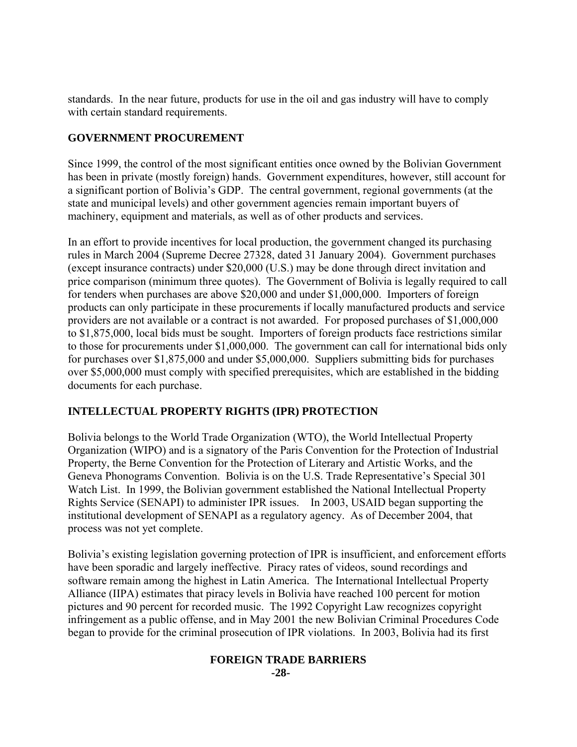standards. In the near future, products for use in the oil and gas industry will have to comply with certain standard requirements.

# **GOVERNMENT PROCUREMENT**

Since 1999, the control of the most significant entities once owned by the Bolivian Government has been in private (mostly foreign) hands. Government expenditures, however, still account for a significant portion of Bolivia's GDP. The central government, regional governments (at the state and municipal levels) and other government agencies remain important buyers of machinery, equipment and materials, as well as of other products and services.

In an effort to provide incentives for local production, the government changed its purchasing rules in March 2004 (Supreme Decree 27328, dated 31 January 2004). Government purchases (except insurance contracts) under \$20,000 (U.S.) may be done through direct invitation and price comparison (minimum three quotes). The Government of Bolivia is legally required to call for tenders when purchases are above \$20,000 and under \$1,000,000. Importers of foreign products can only participate in these procurements if locally manufactured products and service providers are not available or a contract is not awarded. For proposed purchases of \$1,000,000 to \$1,875,000, local bids must be sought. Importers of foreign products face restrictions similar to those for procurements under \$1,000,000. The government can call for international bids only for purchases over \$1,875,000 and under \$5,000,000. Suppliers submitting bids for purchases over \$5,000,000 must comply with specified prerequisites, which are established in the bidding documents for each purchase.

## **INTELLECTUAL PROPERTY RIGHTS (IPR) PROTECTION**

Bolivia belongs to the World Trade Organization (WTO), the World Intellectual Property Organization (WIPO) and is a signatory of the Paris Convention for the Protection of Industrial Property, the Berne Convention for the Protection of Literary and Artistic Works, and the Geneva Phonograms Convention. Bolivia is on the U.S. Trade Representative's Special 301 Watch List. In 1999, the Bolivian government established the National Intellectual Property Rights Service (SENAPI) to administer IPR issues. In 2003, USAID began supporting the institutional development of SENAPI as a regulatory agency. As of December 2004, that process was not yet complete.

Bolivia's existing legislation governing protection of IPR is insufficient, and enforcement efforts have been sporadic and largely ineffective. Piracy rates of videos, sound recordings and software remain among the highest in Latin America. The International Intellectual Property Alliance (IIPA) estimates that piracy levels in Bolivia have reached 100 percent for motion pictures and 90 percent for recorded music. The 1992 Copyright Law recognizes copyright infringement as a public offense, and in May 2001 the new Bolivian Criminal Procedures Code began to provide for the criminal prosecution of IPR violations. In 2003, Bolivia had its first

#### **FOREIGN TRADE BARRIERS -28-**